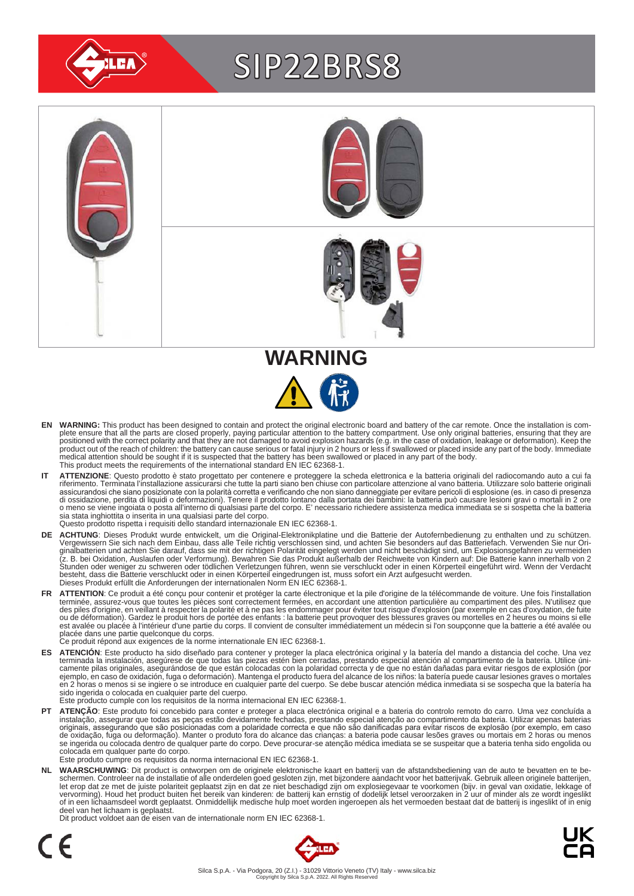

# SIP22BRS8





- EN WARNING: This product has been designed to contain and protect the original electronic board and battery of the car remote. Once the installation is com-<br>plete ensure that all the parts are closed properly, paying parti positioned with the correct polarity and that they are not damaged to avoid explosion hazards (e.g. in the case of oxidation, leakage or deformation). Keep the<br>product out of the reach of children: the battery can cause se medical attention should be sought if it is suspected that the battery has been swallowed or placed in any part of the body. This product meets the requirements of the international standard EN IEC 62368-1.
- IT ATTENZIONE: Questo prodotto è stato progettato per contenere e proteggere la scheda elettronica e la batteria originali del radiocomando auto a cui fa<br>riferimento. Terminata l'installazione assicurarsi che tutte la part assicurandosi che siano posizionate con la polarità corretta e verificando che non siano danneggiate per evitare pericoli di esplosione (es. in caso di presenza<br>di ossidazione, perdita di liquidi o deformazioni). Tenere il sia stata inghiottita o inserita in una qualsiasi parte del corpo. Questo prodotto rispetta i requisiti dello standard internazionale EN IEC 62368-1.
- **DE ACHTUNG**: Dieses Produkt wurde entwickelt, um die Original-Elektronikplatine und die Batterie der Autofernbedienung zu enthalten und zu schützen.<br>Vergewissern Sie sich nach dem Einbau, dass alle Teile richtig verschlos besteht, dass die Batterie verschluckt oder in einen Körperteil eingedrungen ist, muss sofort ein Arzt aufgesucht werden.<br>Dieses Produkt erfüllt die Anforderungen der internationalen Norm EN IEC 62368-1.
- FR ATTENTION: Ce produit a été conçu pour contenir et protéger la carte électronique et la pile d'origine de la télécommande de voiture. Une fois l'installation terminée, assurez-vous que toutes les pièces sont correctement fermées, en accordant une attention particulière au compartiment des piles. N'utilisez que<br>des piles d'origine, en veillant à respecter la polarité et à ne pas est avalée ou placée à l'intérieur d'une partie du corps. Il convient de consulter immédiatement un médecin si l'on soupçonne que la batterie a été avalée ou<br>placée dans une partie quelconque du corps.<br>Ce produit répond au
	-
- ES ATENCION: Este producto ha sido diseñado para contener y proteger la placa electrónica original y la batería del mando a distancia del coche. Una vez<br>-terminada la instalación, asegúrese de que todas las piezas estén bi camente pilas originales, asegurándose de que están colocadas con la polaridad correcta y de que no están dañadas para evitar riesgos de explosión (por<br>ejemplo, en caso de oxidación, fuga o deformación). Mantenga el produc sido ingerida o colocada en cualquier parte del cuerpo.
- Este producto cumple con los requisitos de la norma internacional EN IEC 62368-1.
- **PT ATENÇAO**: Este produto foi concebido para conter e proteger a placa electrónica original e a bateria do controlo remoto do carro. Uma vez concluída a instalação, assegurar que todas as peças estão devidamente fechadas, colocada em qualquer parte do corpo. Este produto cumpre os requisitos da norma internacional EN IEC 62368-1.

NL WAARSCHUWING: Dit product is ontworpen om de originele elektronische kaart en batterij van de afstandsbediening van de auto te bevatten en te be-<br>schermen. Controleer na de installatie of alle onderdelen goed gesloten z of in een lichaamsdeel wordt geplaatst. Onmiddellijk medische hulp moet worden ingeroepen als het vermoeden bestaat dat de batterij is ingeslikt of in enig deel van het lichaam is geplaatst.

Dit product voldoet aan de eisen van de internationale norm EN IEC 62368-1.